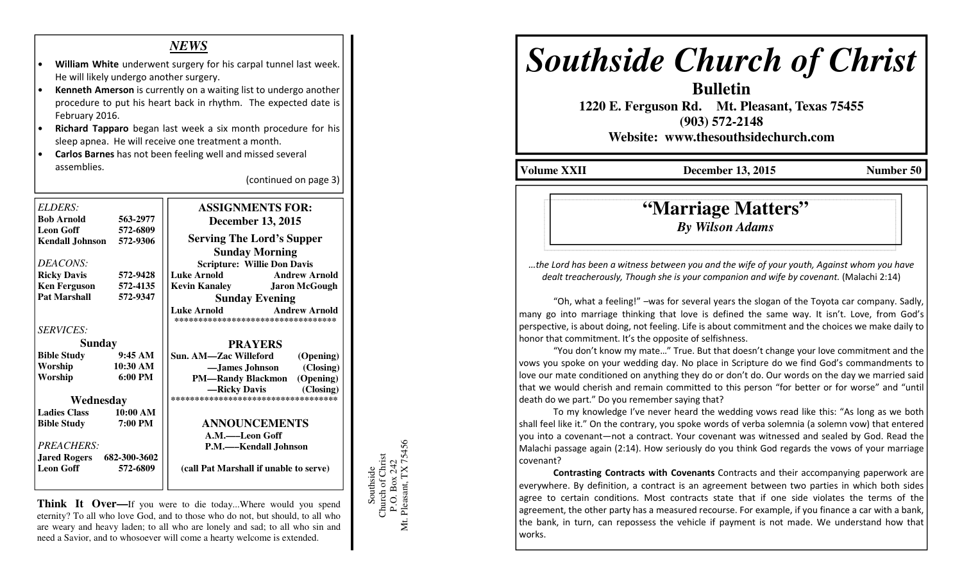## *NEWS*

- William White underwent surgery for his carpal tunnel last week. He will likely undergo another surgery.
- Kenneth Amerson is currently on a waiting list to undergo another procedure to put his heart back in rhythm. The expected date is February 2016.
- Richard Tapparo began last week a six month procedure for his sleep apnea. He will receive one treatment a month.
- Carlos Barnes has not been feeling well and missed several assemblies.

(continued on page 3)

| ELDERS:                          |                    | <b>ASSIGNMENTS FOR:</b>                                                           |
|----------------------------------|--------------------|-----------------------------------------------------------------------------------|
| <b>Bob Arnold</b>                | 563-2977           | <b>December 13, 2015</b>                                                          |
| <b>Leon Goff</b>                 | 572-6809           |                                                                                   |
| <b>Kendall Johnson</b>           | 572-9306           | <b>Serving The Lord's Supper</b>                                                  |
|                                  |                    | <b>Sunday Morning</b>                                                             |
| DEACONS:                         |                    | <b>Scripture: Willie Don Davis</b>                                                |
| <b>Ricky Davis</b>               | 572-9428           | <b>Luke Arnold</b><br><b>Andrew Arnold</b>                                        |
| <b>Ken Ferguson</b>              | 572-4135           | <b>Kevin Kanaley Jaron McGough</b>                                                |
| <b>Pat Marshall</b>              | 572-9347           | <b>Sunday Evening</b>                                                             |
|                                  |                    | <b>Andrew Arnold</b><br><b>Luke Arnold</b><br>*********************************** |
| <b>SERVICES:</b>                 |                    |                                                                                   |
| <b>Sunday</b>                    |                    | <b>PRAYERS</b>                                                                    |
| <b>Bible Study</b>               | 9:45AM             | Sun. AM-Zac Willeford<br>(Opening)                                                |
| Worship                          | $10:30 \text{ AM}$ | -James Johnson (Closing)                                                          |
| Worship                          | $6:00 \text{ PM}$  | <b>PM—Randy Blackmon</b> (Opening)                                                |
|                                  |                    | -Ricky Davis (Closing)                                                            |
| Wednesday                        |                    | ***********************************                                               |
| <b>Ladies Class</b>              | 10:00 AM           |                                                                                   |
| <b>Bible Study</b>               | 7:00 PM            | <b>ANNOUNCEMENTS</b>                                                              |
|                                  |                    | A.M.—Leon Goff                                                                    |
| PREACHERS:                       |                    | P.M.—–Kendall Johnson                                                             |
| <b>Jared Rogers</b> 682-300-3602 |                    |                                                                                   |
| <b>Leon Goff</b>                 | 572-6809           | (call Pat Marshall if unable to serve)                                            |
|                                  |                    |                                                                                   |

**Think It Over—**If you were to die today...Where would you spend eternity? To all who love God, and to those who do not, but should, to all who are weary and heavy laden; to all who are lonely and sad; to all who sin and need a Savior, and to whosoever will come a hearty welcome is extended.

Southside<br>Church of Christ<br>P.O. Box 242<br>Mt. Pleasant, TX 75456 Mt. Pleasant, TX 75456 Church of Christ P.O. Box 242 Southside

## *Southside Church of Christ*

**Bulletin** 

 **1220 E. Ferguson Rd. Mt. Pleasant, Texas 75455 (903) 572-2148** 

**Website: www.thesouthsidechurch.com** 

**Volume XXII December 13, 2015 Number 50** 

## **"Marriage Matters"***By Wilson Adams*

…the Lord has been a witness between you and the wife of your youth, Against whom you have dealt treacherously, Though she is your companion and wife by covenant. (Malachi 2:14)

"Oh, what a feeling!" –was for several years the slogan of the Toyota car company. Sadly, many go into marriage thinking that love is defined the same way. It isn't. Love, from God's perspective, is about doing, not feeling. Life is about commitment and the choices we make daily to honor that commitment. It's the opposite of selfishness.

 "You don't know my mate…" True. But that doesn't change your love commitment and the vows you spoke on your wedding day. No place in Scripture do we find God's commandments to love our mate conditioned on anything they do or don't do. Our words on the day we married said that we would cherish and remain committed to this person "for better or for worse" and "until death do we part." Do you remember saying that?

To my knowledge I've never heard the wedding vows read like this: "As long as we both shall feel like it." On the contrary, you spoke words of verba solemnia (a solemn vow) that entered you into a covenant—not a contract. Your covenant was witnessed and sealed by God. Read the Malachi passage again (2:14). How seriously do you think God regards the vows of your marriage covenant?

Contrasting Contracts with Covenants Contracts and their accompanying paperwork are everywhere. By definition, a contract is an agreement between two parties in which both sides agree to certain conditions. Most contracts state that if one side violates the terms of the agreement, the other party has a measured recourse. For example, if you finance a car with a bank, the bank, in turn, can repossess the vehicle if payment is not made. We understand how that works.